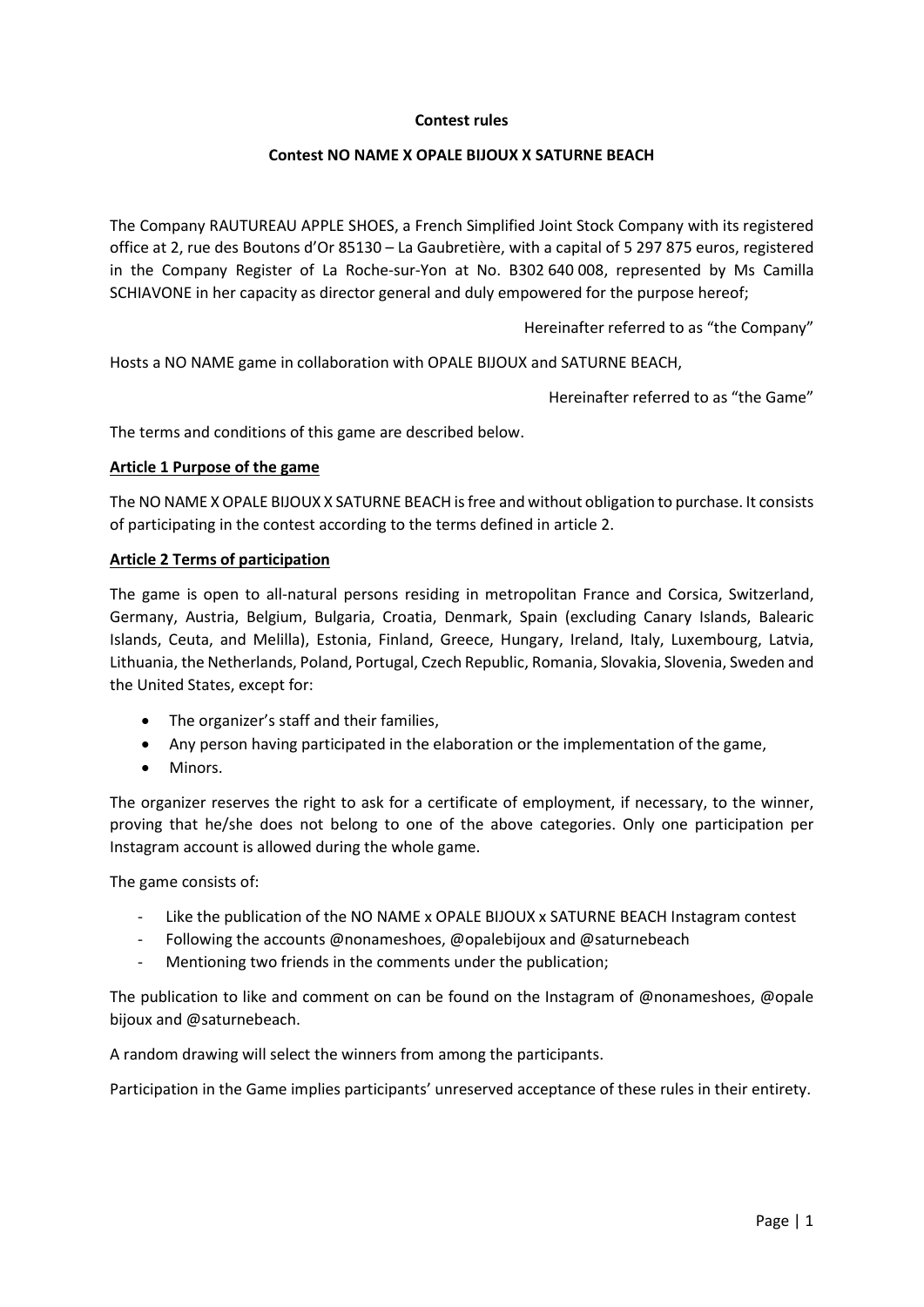## Contest rules

# Contest NO NAME X OPALE BIJOUX X SATURNE BEACH

The Company RAUTUREAU APPLE SHOES, a French Simplified Joint Stock Company with its registered office at 2, rue des Boutons d'Or 85130 – La Gaubretière, with a capital of 5 297 875 euros, registered in the Company Register of La Roche-sur-Yon at No. B302 640 008, represented by Ms Camilla SCHIAVONE in her capacity as director general and duly empowered for the purpose hereof;

Hereinafter referred to as "the Company"

Hosts a NO NAME game in collaboration with OPALE BIJOUX and SATURNE BEACH,

Hereinafter referred to as "the Game"

The terms and conditions of this game are described below.

### Article 1 Purpose of the game

The NO NAME X OPALE BIJOUX X SATURNE BEACH is free and without obligation to purchase. It consists of participating in the contest according to the terms defined in article 2.

### Article 2 Terms of participation

The game is open to all-natural persons residing in metropolitan France and Corsica, Switzerland, Germany, Austria, Belgium, Bulgaria, Croatia, Denmark, Spain (excluding Canary Islands, Balearic Islands, Ceuta, and Melilla), Estonia, Finland, Greece, Hungary, Ireland, Italy, Luxembourg, Latvia, Lithuania, the Netherlands, Poland, Portugal, Czech Republic, Romania, Slovakia, Slovenia, Sweden and the United States, except for:

- The organizer's staff and their families,
- Any person having participated in the elaboration or the implementation of the game,
- Minors.

The organizer reserves the right to ask for a certificate of employment, if necessary, to the winner, proving that he/she does not belong to one of the above categories. Only one participation per Instagram account is allowed during the whole game.

The game consists of:

- Like the publication of the NO NAME x OPALE BIJOUX x SATURNE BEACH Instagram contest
- Following the accounts @nonameshoes, @opalebijoux and @saturnebeach
- Mentioning two friends in the comments under the publication;

The publication to like and comment on can be found on the Instagram of @nonameshoes, @opale bijoux and @saturnebeach.

A random drawing will select the winners from among the participants.

Participation in the Game implies participants' unreserved acceptance of these rules in their entirety.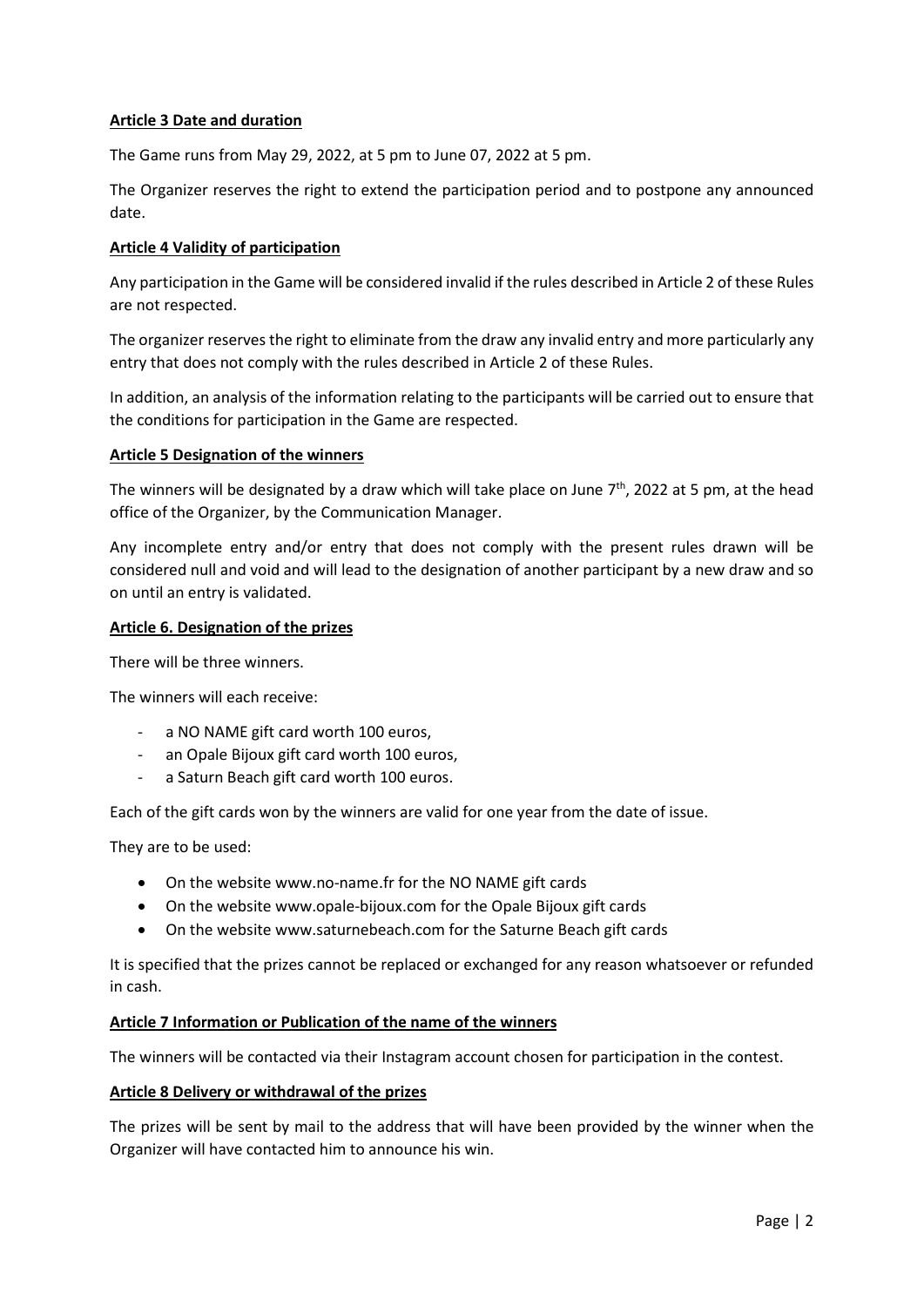# Article 3 Date and duration

The Game runs from May 29, 2022, at 5 pm to June 07, 2022 at 5 pm.

The Organizer reserves the right to extend the participation period and to postpone any announced date.

### Article 4 Validity of participation

Any participation in the Game will be considered invalid if the rules described in Article 2 of these Rules are not respected.

The organizer reserves the right to eliminate from the draw any invalid entry and more particularly any entry that does not comply with the rules described in Article 2 of these Rules.

In addition, an analysis of the information relating to the participants will be carried out to ensure that the conditions for participation in the Game are respected.

### Article 5 Designation of the winners

The winners will be designated by a draw which will take place on June  $7<sup>th</sup>$ , 2022 at 5 pm, at the head office of the Organizer, by the Communication Manager.

Any incomplete entry and/or entry that does not comply with the present rules drawn will be considered null and void and will lead to the designation of another participant by a new draw and so on until an entry is validated.

## Article 6. Designation of the prizes

There will be three winners.

The winners will each receive:

- a NO NAME gift card worth 100 euros,
- an Opale Bijoux gift card worth 100 euros,
- a Saturn Beach gift card worth 100 euros.

Each of the gift cards won by the winners are valid for one year from the date of issue.

They are to be used:

- On the website www.no-name.fr for the NO NAME gift cards
- On the website www.opale-bijoux.com for the Opale Bijoux gift cards
- On the website www.saturnebeach.com for the Saturne Beach gift cards

It is specified that the prizes cannot be replaced or exchanged for any reason whatsoever or refunded in cash.

#### Article 7 Information or Publication of the name of the winners

The winners will be contacted via their Instagram account chosen for participation in the contest.

#### Article 8 Delivery or withdrawal of the prizes

The prizes will be sent by mail to the address that will have been provided by the winner when the Organizer will have contacted him to announce his win.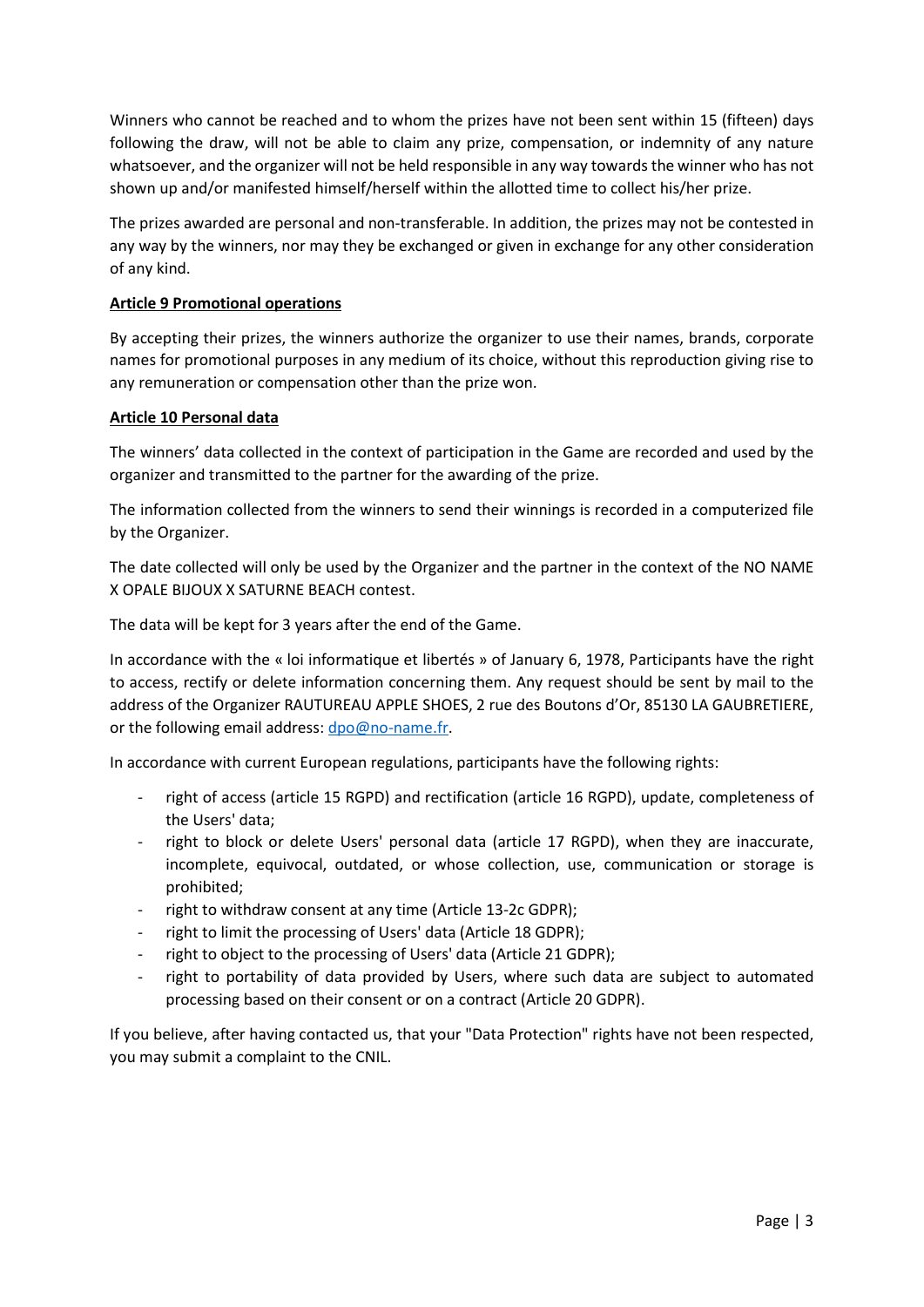Winners who cannot be reached and to whom the prizes have not been sent within 15 (fifteen) days following the draw, will not be able to claim any prize, compensation, or indemnity of any nature whatsoever, and the organizer will not be held responsible in any way towards the winner who has not shown up and/or manifested himself/herself within the allotted time to collect his/her prize.

The prizes awarded are personal and non-transferable. In addition, the prizes may not be contested in any way by the winners, nor may they be exchanged or given in exchange for any other consideration of any kind.

# Article 9 Promotional operations

By accepting their prizes, the winners authorize the organizer to use their names, brands, corporate names for promotional purposes in any medium of its choice, without this reproduction giving rise to any remuneration or compensation other than the prize won.

# Article 10 Personal data

The winners' data collected in the context of participation in the Game are recorded and used by the organizer and transmitted to the partner for the awarding of the prize.

The information collected from the winners to send their winnings is recorded in a computerized file by the Organizer.

The date collected will only be used by the Organizer and the partner in the context of the NO NAME X OPALE BIJOUX X SATURNE BEACH contest.

The data will be kept for 3 years after the end of the Game.

In accordance with the « loi informatique et libertés » of January 6, 1978, Participants have the right to access, rectify or delete information concerning them. Any request should be sent by mail to the address of the Organizer RAUTUREAU APPLE SHOES, 2 rue des Boutons d'Or, 85130 LA GAUBRETIERE, or the following email address: dpo@no-name.fr.

In accordance with current European regulations, participants have the following rights:

- right of access (article 15 RGPD) and rectification (article 16 RGPD), update, completeness of the Users' data;
- right to block or delete Users' personal data (article 17 RGPD), when they are inaccurate, incomplete, equivocal, outdated, or whose collection, use, communication or storage is prohibited;
- right to withdraw consent at any time (Article 13-2c GDPR);
- right to limit the processing of Users' data (Article 18 GDPR);
- right to object to the processing of Users' data (Article 21 GDPR);
- right to portability of data provided by Users, where such data are subject to automated processing based on their consent or on a contract (Article 20 GDPR).

If you believe, after having contacted us, that your "Data Protection" rights have not been respected, you may submit a complaint to the CNIL.